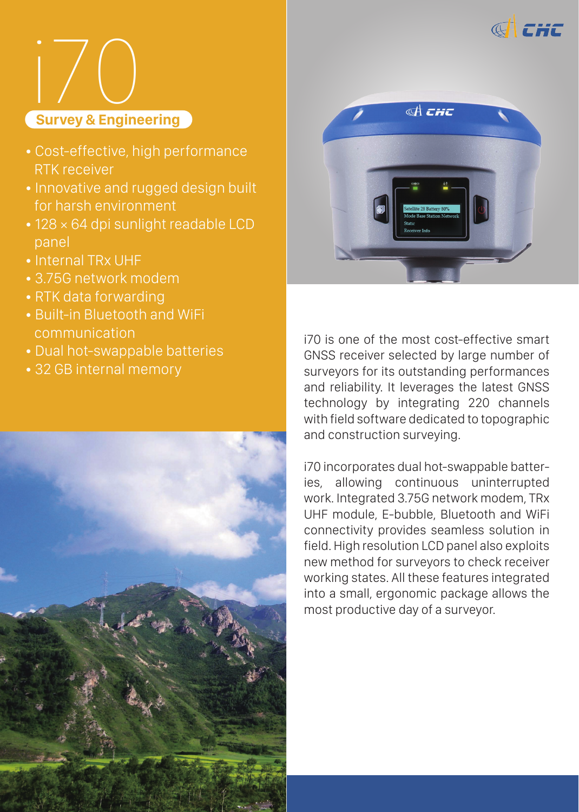



- Cost-effective, high performance RTK receiver
- Innovative and rugged design built for harsh environment
- 128 × 64 dpi sunlight readable LCD panel
- Internal TRx UHF
- 3.75G network modem
- RTK data forwarding
- Built-in Bluetooth and WiFi communication
- Dual hot-swappable batteries
- 32 GB internal memory





i70 is one of the most cost-effective smart GNSS receiver selected by large number of surveyors for its outstanding performances and reliability. It leverages the latest GNSS technology by integrating 220 channels with field software dedicated to topographic and construction surveying.

i70 incorporates dual hot-swappable batteries, allowing continuous uninterrupted work. Integrated 3.75G network modem, TRx UHF module, E-bubble, Bluetooth and WiFi connectivity provides seamless solution in field. High resolution LCD panel also exploits new method for surveyors to check receiver working states. All these features integrated into a small, ergonomic package allows the most productive day of a surveyor.